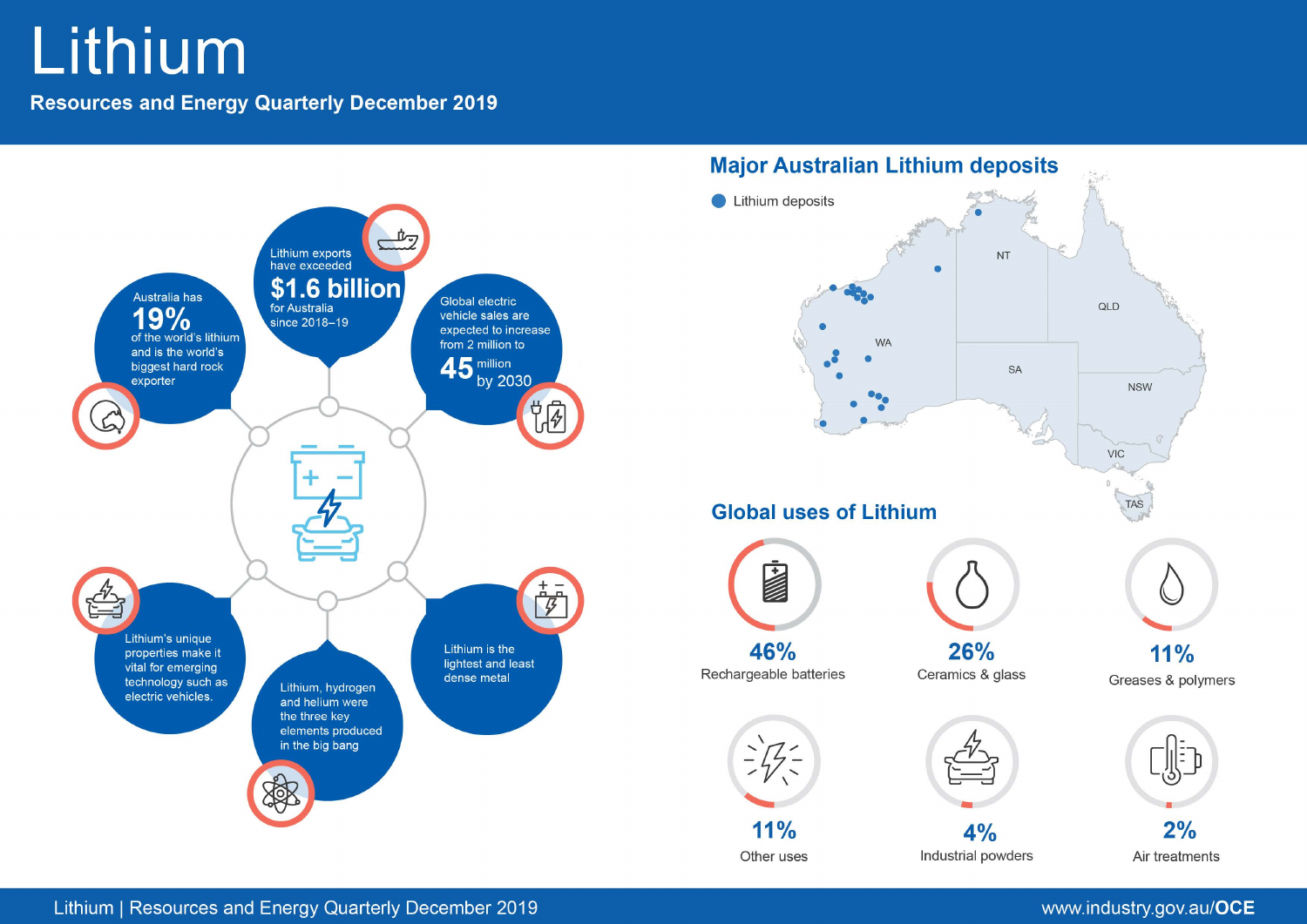# Lithium

**Resources and Energy Quarterly December 2019** 



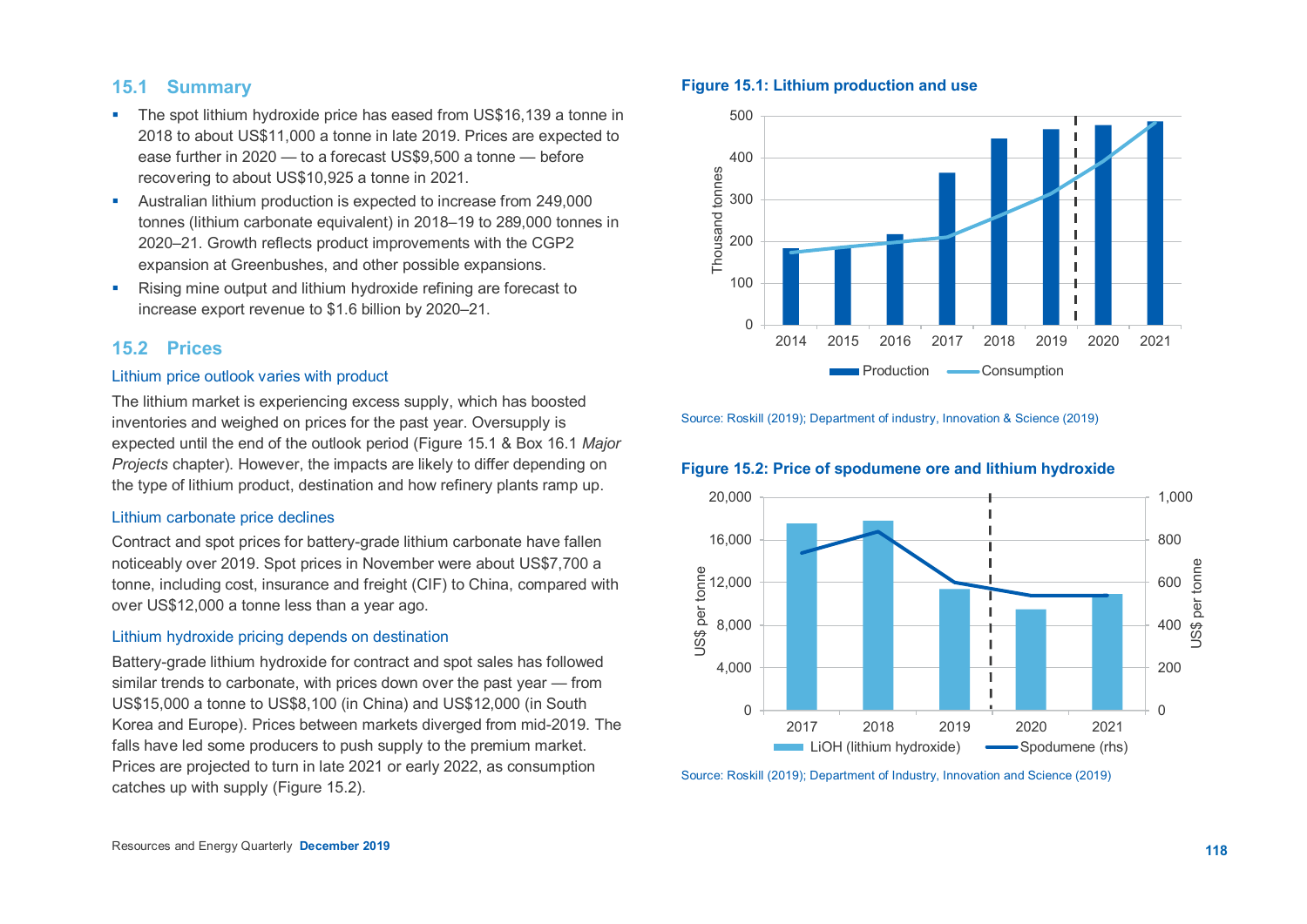# **15.1 Summary**

- The spot lithium hydroxide price has eased from US\$16,139 a tonne in 2018 to about US\$11,000 a tonne in late 2019. Prices are expected to ease further in 2020 — to a forecast US\$9,500 a tonne — before recovering to about US\$10,925 a tonne in 2021.
- Australian lithium production is expected to increase from 249,000 tonnes (lithium carbonate equivalent) in 2018–19 to 289,000 tonnes in 2020–21. Growth reflects product improvements with the CGP2 expansion at Greenbushes, and other possible expansions.
- **Rising mine output and lithium hydroxide refining are forecast to** increase export revenue to \$1.6 billion by 2020–21.

# **15.2 Prices**

## Lithium price outlook varies with product

The lithium market is experiencing excess supply, which has boosted inventories and weighed on prices for the past year. Oversupply is expected until the end of the outlook period (Figure 15.1 & Box 16.1 *Major Projects* chapter). However, the impacts are likely to differ depending on the type of lithium product, destination and how refinery plants ramp up.

## Lithium carbonate price declines

Contract and spot prices for battery-grade lithium carbonate have fallen noticeably over 2019. Spot prices in November were about US\$7,700 a tonne, including cost, insurance and freight (CIF) to China, compared with over US\$12,000 a tonne less than a year ago.

## Lithium hydroxide pricing depends on destination

Battery-grade lithium hydroxide for contract and spot sales has followed similar trends to carbonate, with prices down over the past year — from US\$15,000 a tonne to US\$8,100 (in China) and US\$12,000 (in South Korea and Europe). Prices between markets diverged from mid-2019. The falls have led some producers to push supply to the premium market. Prices are projected to turn in late 2021 or early 2022, as consumption catches up with supply (Figure 15.2).





Source: Roskill (2019); Department of industry, Innovation & Science (2019)

## **Figure 15.2: Price of spodumene ore and lithium hydroxide**



Source: Roskill (2019); Department of Industry, Innovation and Science (2019)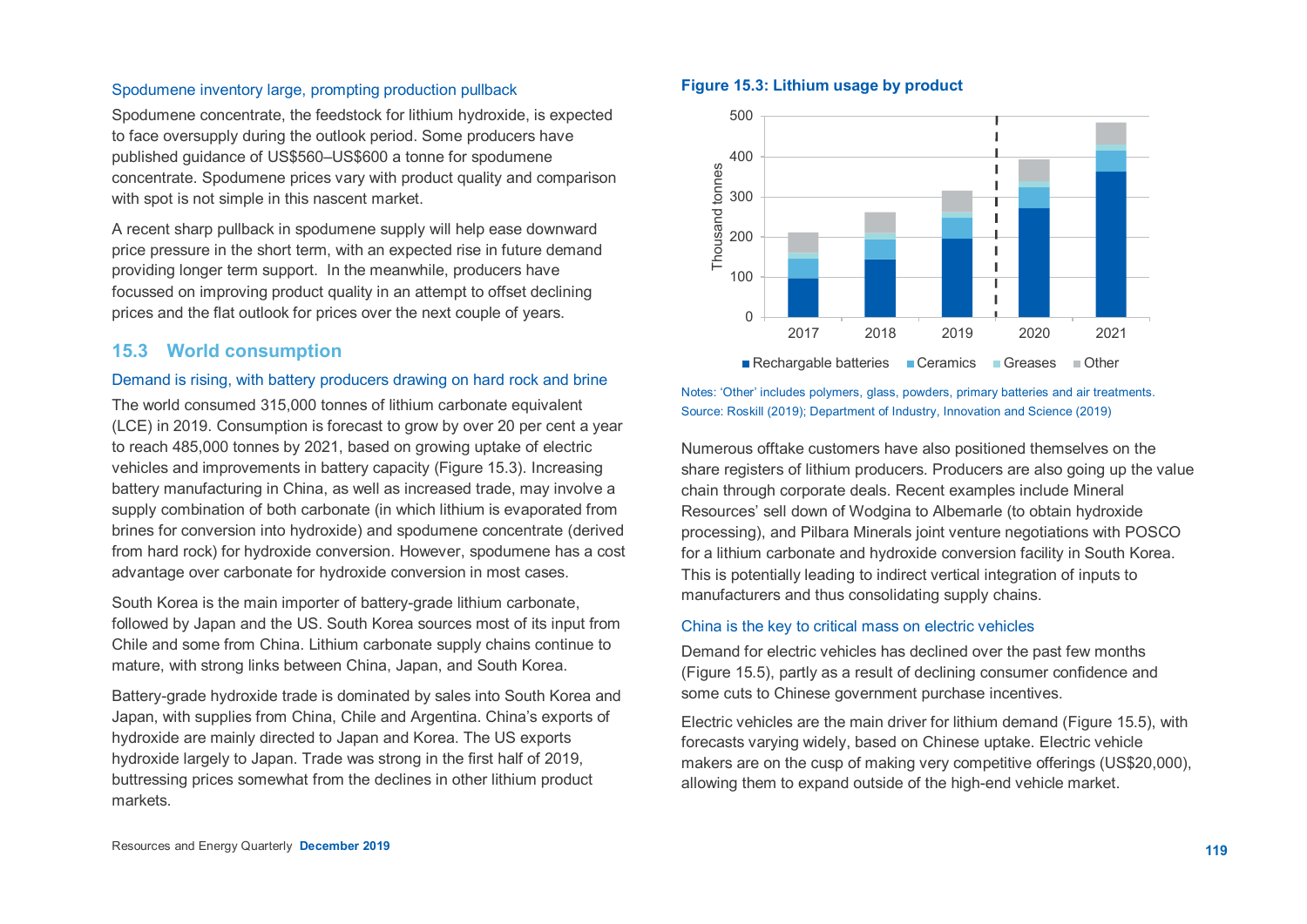## Spodumene inventory large, prompting production pullback

Spodumene concentrate, the feedstock for lithium hydroxide, is expected to face oversupply during the outlook period. Some producers have published guidance of US\$560–US\$600 a tonne for spodumene concentrate. Spodumene prices vary with product quality and comparison with spot is not simple in this nascent market.

A recent sharp pullback in spodumene supply will help ease downward price pressure in the short term, with an expected rise in future demand providing longer term support. In the meanwhile, producers have focussed on improving product quality in an attempt to offset declining prices and the flat outlook for prices over the next couple of years.

# **15.3 World consumption**

## Demand is rising, with battery producers drawing on hard rock and brine

The world consumed 315,000 tonnes of lithium carbonate equivalent (LCE) in 2019. Consumption is forecast to grow by over 20 per cent a year to reach 485,000 tonnes by 2021, based on growing uptake of electric vehicles and improvements in battery capacity (Figure 15.3). Increasing battery manufacturing in China, as well as increased trade, may involve a supply combination of both carbonate (in which lithium is evaporated from brines for conversion into hydroxide) and spodumene concentrate (derived from hard rock) for hydroxide conversion. However, spodumene has a cost advantage over carbonate for hydroxide conversion in most cases.

South Korea is the main importer of battery-grade lithium carbonate, followed by Japan and the US. South Korea sources most of its input from Chile and some from China. Lithium carbonate supply chains continue to mature, with strong links between China, Japan, and South Korea.

Battery-grade hydroxide trade is dominated by sales into South Korea and Japan, with supplies from China, Chile and Argentina. China's exports of hydroxide are mainly directed to Japan and Korea. The US exports hydroxide largely to Japan. Trade was strong in the first half of 2019, buttressing prices somewhat from the declines in other lithium product markets.

# **Figure 15.3: Lithium usage by product**



Notes: 'Other' includes polymers, glass, powders, primary batteries and air treatments. Source: Roskill (2019); Department of Industry, Innovation and Science (2019)

Numerous offtake customers have also positioned themselves on the share registers of lithium producers. Producers are also going up the value chain through corporate deals. Recent examples include Mineral Resources' sell down of Wodgina to Albemarle (to obtain hydroxide processing), and Pilbara Minerals joint venture negotiations with POSCO for a lithium carbonate and hydroxide conversion facility in South Korea. This is potentially leading to indirect vertical integration of inputs to manufacturers and thus consolidating supply chains.

## China is the key to critical mass on electric vehicles

Demand for electric vehicles has declined over the past few months (Figure 15.5), partly as a result of declining consumer confidence and some cuts to Chinese government purchase incentives.

Electric vehicles are the main driver for lithium demand (Figure 15.5), with forecasts varying widely, based on Chinese uptake. Electric vehicle makers are on the cusp of making very competitive offerings (US\$20,000), allowing them to expand outside of the high-end vehicle market.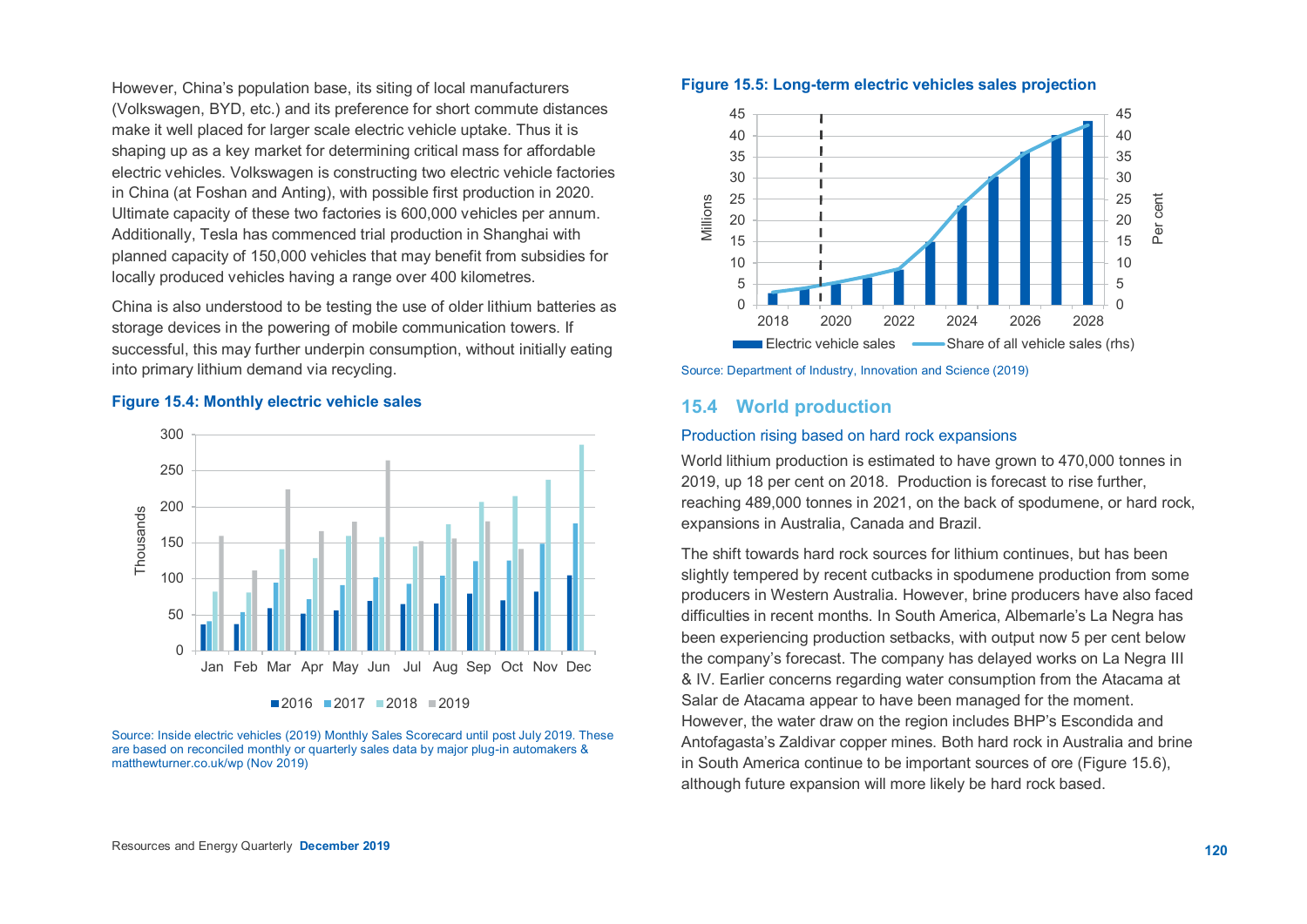However, China's population base, its siting of local manufacturers (Volkswagen, BYD, etc.) and its preference for short commute distances make it well placed for larger scale electric vehicle uptake. Thus it is shaping up as a key market for determining critical mass for affordable electric vehicles. Volkswagen is constructing two electric vehicle factories in China (at Foshan and Anting), with possible first production in 2020. Ultimate capacity of these two factories is 600,000 vehicles per annum. Additionally, Tesla has commenced trial production in Shanghai with planned capacity of 150,000 vehicles that may benefit from subsidies for locally produced vehicles having a range over 400 kilometres.

China is also understood to be testing the use of older lithium batteries as storage devices in the powering of mobile communication towers. If successful, this may further underpin consumption, without initially eating into primary lithium demand via recycling.



### **Figure 15.4: Monthly electric vehicle sales**

Source: Inside electric vehicles (2019) Monthly Sales Scorecard until post July 2019. These are based on reconciled monthly or quarterly sales data by major plug-in automakers & matthewturner.co.uk/wp (Nov 2019)





Source: Department of Industry, Innovation and Science (2019)

# **15.4 World production**

#### Production rising based on hard rock expansions

World lithium production is estimated to have grown to 470,000 tonnes in 2019, up 18 per cent on 2018. Production is forecast to rise further, reaching 489,000 tonnes in 2021, on the back of spodumene, or hard rock, expansions in Australia, Canada and Brazil.

The shift towards hard rock sources for lithium continues, but has been slightly tempered by recent cutbacks in spodumene production from some producers in Western Australia. However, brine producers have also faced difficulties in recent months. In South America, Albemarle's La Negra has been experiencing production setbacks, with output now 5 per cent below the company's forecast. The company has delayed works on La Negra III & IV. Earlier concerns regarding water consumption from the Atacama at Salar de Atacama appear to have been managed for the moment. However, the water draw on the region includes BHP's Escondida and Antofagasta's Zaldivar copper mines. Both hard rock in Australia and brine in South America continue to be important sources of ore (Figure 15.6), although future expansion will more likely be hard rock based.

 $2016$   $2017$   $2018$   $2019$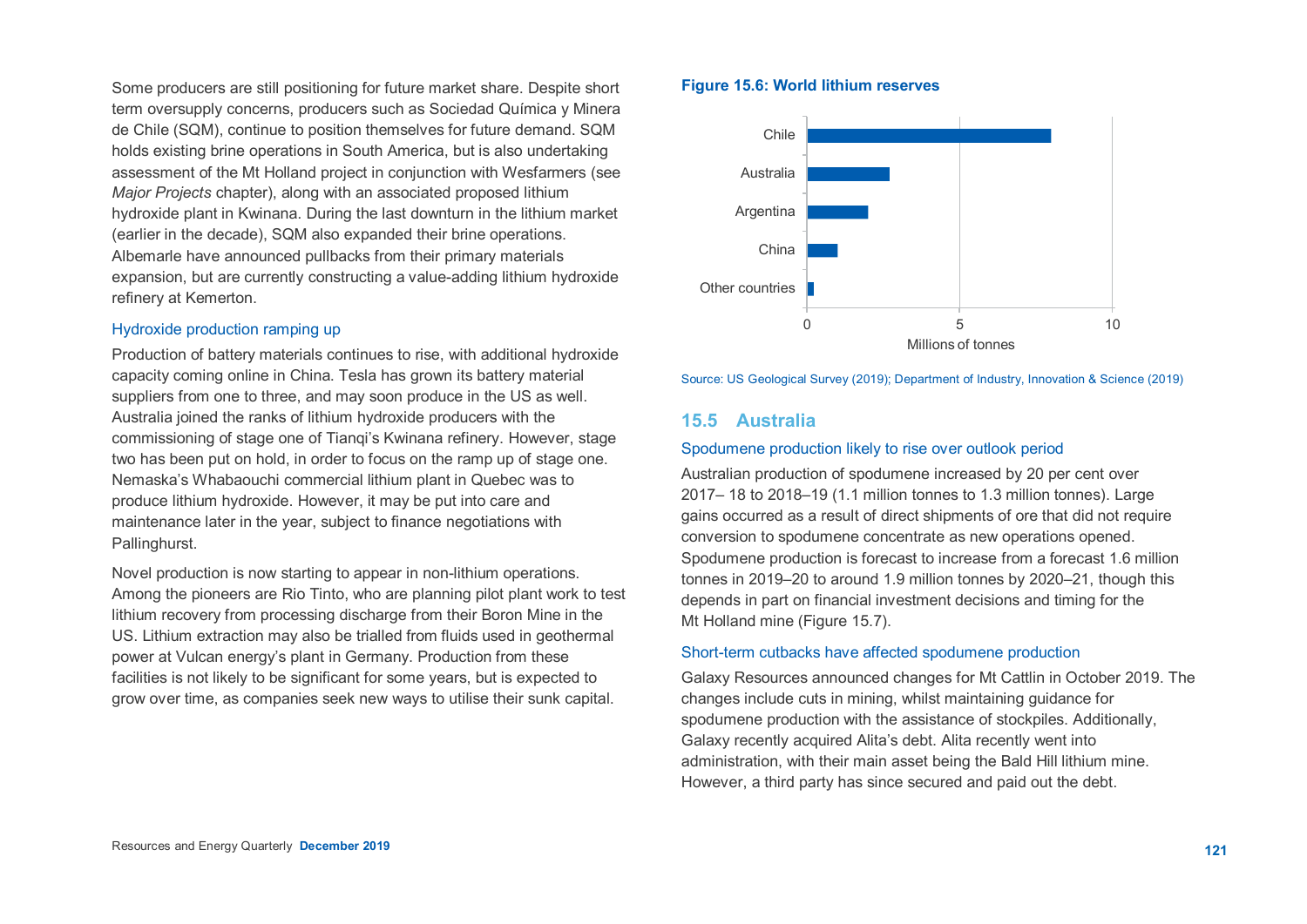Some producers are still positioning for future market share. Despite short term oversupply concerns, producers such as Sociedad Química y Minera de Chile (SQM), continue to position themselves for future demand. SQM holds existing brine operations in South America, but is also undertaking assessment of the Mt Holland project in conjunction with Wesfarmers (see *Major Projects* chapter), along with an associated proposed lithium hydroxide plant in Kwinana. During the last downturn in the lithium market (earlier in the decade), SQM also expanded their brine operations. Albemarle have announced pullbacks from their primary materials expansion, but are currently constructing a value-adding lithium hydroxide refinery at Kemerton.

## Hydroxide production ramping up

Production of battery materials continues to rise, with additional hydroxide capacity coming online in China. Tesla has grown its battery material suppliers from one to three, and may soon produce in the US as well. Australia joined the ranks of lithium hydroxide producers with the commissioning of stage one of Tianqi's Kwinana refinery. However, stage two has been put on hold, in order to focus on the ramp up of stage one. Nemaska's Whabaouchi commercial lithium plant in Quebec was to produce lithium hydroxide. However, it may be put into care and maintenance later in the year, subject to finance negotiations with Pallinghurst.

Novel production is now starting to appear in non-lithium operations. Among the pioneers are Rio Tinto, who are planning pilot plant work to test lithium recovery from processing discharge from their Boron Mine in the US. Lithium extraction may also be trialled from fluids used in geothermal power at Vulcan energy's plant in Germany. Production from these facilities is not likely to be significant for some years, but is expected to grow over time, as companies seek new ways to utilise their sunk capital.

### **Figure 15.6: World lithium reserves**



Source: US Geological Survey (2019); Department of Industry, Innovation & Science (2019)

# **15.5 Australia**

## Spodumene production likely to rise over outlook period

Australian production of spodumene increased by 20 per cent over 2017– 18 to 2018–19 (1.1 million tonnes to 1.3 million tonnes). Large gains occurred as a result of direct shipments of ore that did not require conversion to spodumene concentrate as new operations opened. Spodumene production is forecast to increase from a forecast 1.6 million tonnes in 2019–20 to around 1.9 million tonnes by 2020–21, though this depends in part on financial investment decisions and timing for the Mt Holland mine (Figure 15.7).

## Short-term cutbacks have affected spodumene production

Galaxy Resources announced changes for Mt Cattlin in October 2019. The changes include cuts in mining, whilst maintaining guidance for spodumene production with the assistance of stockpiles. Additionally, Galaxy recently acquired Alita's debt. Alita recently went into administration, with their main asset being the Bald Hill lithium mine. However, a third party has since secured and paid out the debt.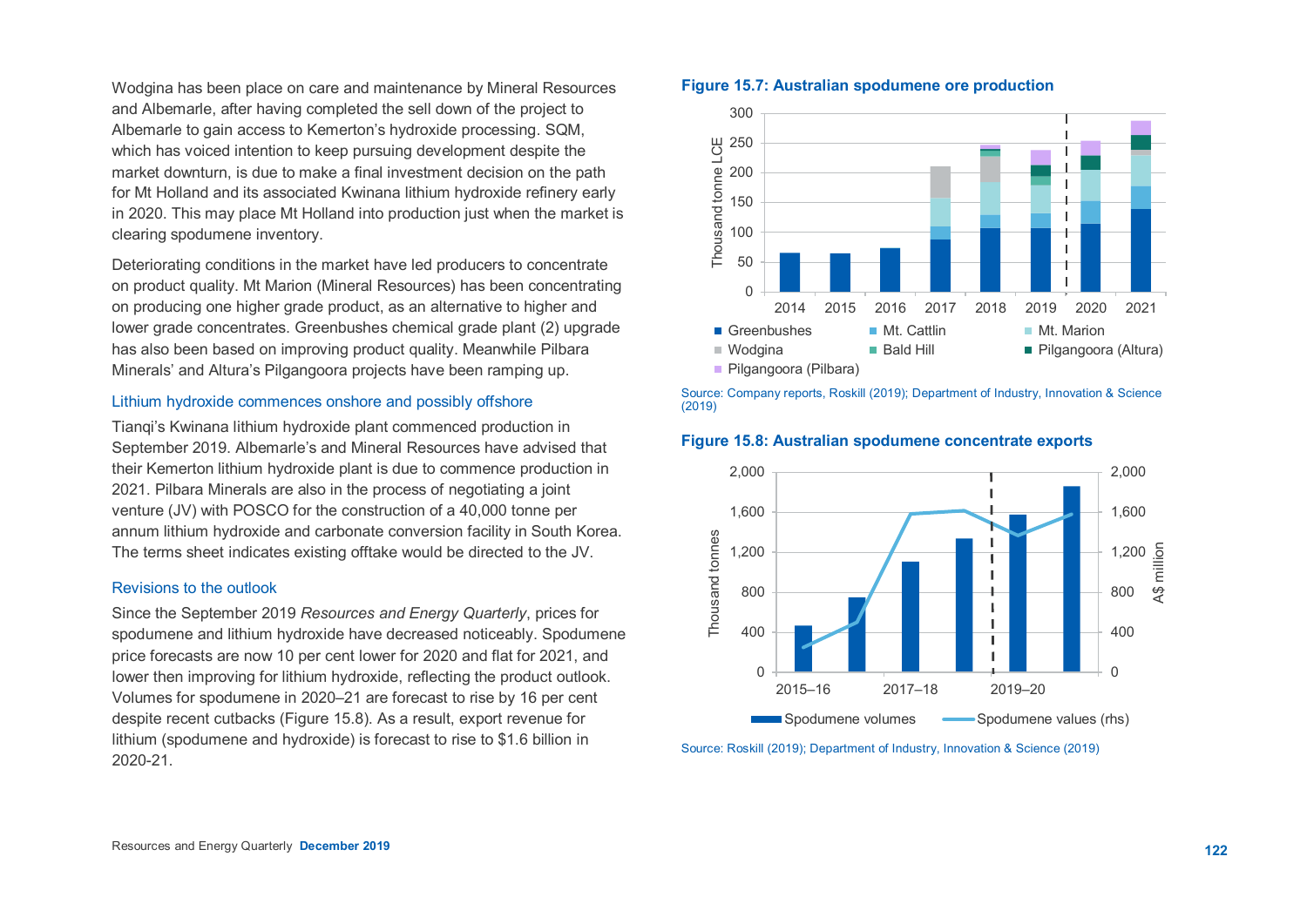Wodgina has been place on care and maintenance by Mineral Resources and Albemarle, after having completed the sell down of the project to Albemarle to gain access to Kemerton's hydroxide processing. SQM, which has voiced intention to keep pursuing development despite the market downturn, is due to make a final investment decision on the path for Mt Holland and its associated Kwinana lithium hydroxide refinery early in 2020. This may place Mt Holland into production just when the market is clearing spodumene inventory.

Deteriorating conditions in the market have led producers to concentrate on product quality. Mt Marion (Mineral Resources) has been concentrating on producing one higher grade product, as an alternative to higher and lower grade concentrates. Greenbushes chemical grade plant (2) upgrade has also been based on improving product quality. Meanwhile Pilbara Minerals' and Altura's Pilgangoora projects have been ramping up.

#### Lithium hydroxide commences onshore and possibly offshore

Tianqi's Kwinana lithium hydroxide plant commenced production in September 2019. Albemarle's and Mineral Resources have advised that their Kemerton lithium hydroxide plant is due to commence production in 2021. Pilbara Minerals are also in the process of negotiating a joint venture (JV) with POSCO for the construction of a 40,000 tonne per annum lithium hydroxide and carbonate conversion facility in South Korea. The terms sheet indicates existing offtake would be directed to the JV.

## Revisions to the outlook

Since the September 2019 *Resources and Energy Quarterly*, prices for spodumene and lithium hydroxide have decreased noticeably. Spodumene price forecasts are now 10 per cent lower for 2020 and flat for 2021, and lower then improving for lithium hydroxide, reflecting the product outlook. Volumes for spodumene in 2020–21 are forecast to rise by 16 per cent despite recent cutbacks (Figure 15.8). As a result, export revenue for lithium (spodumene and hydroxide) is forecast to rise to \$1.6 billion in 2020-21.

## **Figure 15.7: Australian spodumene ore production**



Source: Company reports, Roskill (2019); Department of Industry, Innovation & Science (2019)



**Figure 15.8: Australian spodumene concentrate exports**



Source: Roskill (2019); Department of Industry, Innovation & Science (2019)